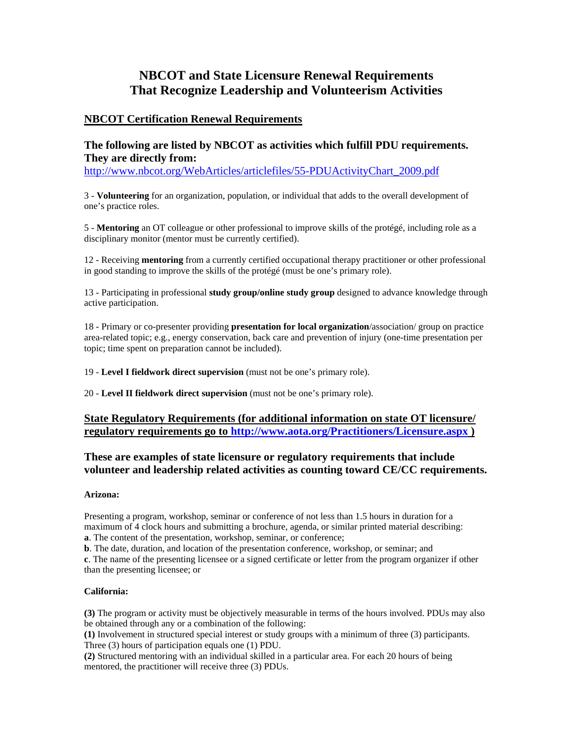# **NBCOT and State Licensure Renewal Requirements That Recognize Leadership and Volunteerism Activities**

# **NBCOT Certification Renewal Requirements**

# **The following are listed by NBCOT as activities which fulfill PDU requirements. They are directly from:**

http://www.nbcot.org/WebArticles/articlefiles/55-PDUActivityChart\_2009.pdf

3 - **Volunteering** for an organization, population, or individual that adds to the overall development of one's practice roles.

5 - **Mentoring** an OT colleague or other professional to improve skills of the protégé, including role as a disciplinary monitor (mentor must be currently certified).

12 - Receiving **mentoring** from a currently certified occupational therapy practitioner or other professional in good standing to improve the skills of the protégé (must be one's primary role).

13 - Participating in professional **study group/online study group** designed to advance knowledge through active participation.

18 - Primary or co-presenter providing **presentation for local organization**/association/ group on practice area-related topic; e.g., energy conservation, back care and prevention of injury (one-time presentation per topic; time spent on preparation cannot be included).

19 - **Level I fieldwork direct supervision** (must not be one's primary role).

20 - **Level II fieldwork direct supervision** (must not be one's primary role).

# **State Regulatory Requirements (for additional information on state OT licensure/ regulatory requirements go to http://www.aota.org/Practitioners/Licensure.aspx )**

# **These are examples of state licensure or regulatory requirements that include volunteer and leadership related activities as counting toward CE/CC requirements.**

# **Arizona:**

Presenting a program, workshop, seminar or conference of not less than 1.5 hours in duration for a maximum of 4 clock hours and submitting a brochure, agenda, or similar printed material describing: **a**. The content of the presentation, workshop, seminar, or conference;

**b**. The date, duration, and location of the presentation conference, workshop, or seminar; and

**c**. The name of the presenting licensee or a signed certificate or letter from the program organizer if other than the presenting licensee; or

# **California:**

**(3)** The program or activity must be objectively measurable in terms of the hours involved. PDUs may also be obtained through any or a combination of the following:

**(1)** Involvement in structured special interest or study groups with a minimum of three (3) participants. Three (3) hours of participation equals one (1) PDU.

**(2)** Structured mentoring with an individual skilled in a particular area. For each 20 hours of being mentored, the practitioner will receive three (3) PDUs.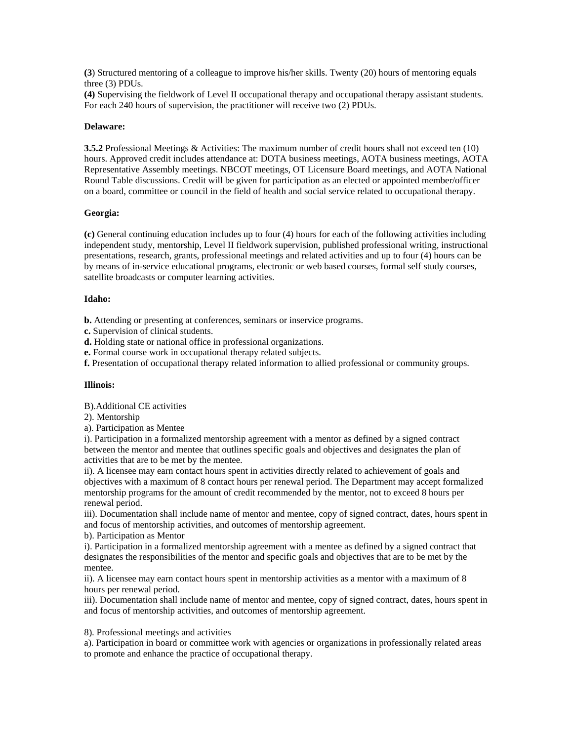**(3**) Structured mentoring of a colleague to improve his/her skills. Twenty (20) hours of mentoring equals three (3) PDUs.

**(4)** Supervising the fieldwork of Level II occupational therapy and occupational therapy assistant students. For each 240 hours of supervision, the practitioner will receive two (2) PDUs.

#### **Delaware:**

**3.5.2** Professional Meetings & Activities: The maximum number of credit hours shall not exceed ten (10) hours. Approved credit includes attendance at: DOTA business meetings, AOTA business meetings, AOTA Representative Assembly meetings. NBCOT meetings, OT Licensure Board meetings, and AOTA National Round Table discussions. Credit will be given for participation as an elected or appointed member/officer on a board, committee or council in the field of health and social service related to occupational therapy.

# **Georgia:**

**(c)** General continuing education includes up to four (4) hours for each of the following activities including independent study, mentorship, Level II fieldwork supervision, published professional writing, instructional presentations, research, grants, professional meetings and related activities and up to four (4) hours can be by means of in-service educational programs, electronic or web based courses, formal self study courses, satellite broadcasts or computer learning activities.

# **Idaho:**

**b.** Attending or presenting at conferences, seminars or inservice programs.

**c.** Supervision of clinical students.

**d.** Holding state or national office in professional organizations.

**e.** Formal course work in occupational therapy related subjects.

**f.** Presentation of occupational therapy related information to allied professional or community groups.

#### **Illinois:**

B).Additional CE activities

2). Mentorship

a). Participation as Mentee

i). Participation in a formalized mentorship agreement with a mentor as defined by a signed contract between the mentor and mentee that outlines specific goals and objectives and designates the plan of activities that are to be met by the mentee.

ii). A licensee may earn contact hours spent in activities directly related to achievement of goals and objectives with a maximum of 8 contact hours per renewal period. The Department may accept formalized mentorship programs for the amount of credit recommended by the mentor, not to exceed 8 hours per renewal period.

iii). Documentation shall include name of mentor and mentee, copy of signed contract, dates, hours spent in and focus of mentorship activities, and outcomes of mentorship agreement.

b). Participation as Mentor

i). Participation in a formalized mentorship agreement with a mentee as defined by a signed contract that designates the responsibilities of the mentor and specific goals and objectives that are to be met by the mentee.

ii). A licensee may earn contact hours spent in mentorship activities as a mentor with a maximum of 8 hours per renewal period.

iii). Documentation shall include name of mentor and mentee, copy of signed contract, dates, hours spent in and focus of mentorship activities, and outcomes of mentorship agreement.

#### 8). Professional meetings and activities

a). Participation in board or committee work with agencies or organizations in professionally related areas to promote and enhance the practice of occupational therapy.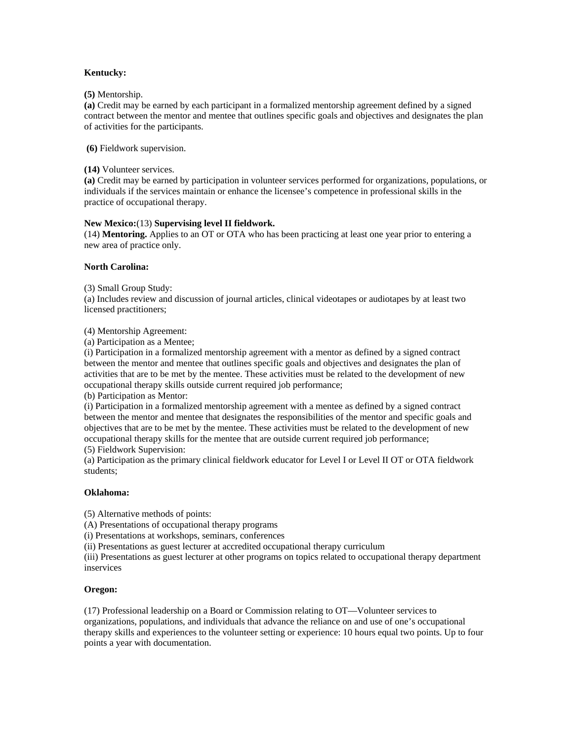# **Kentucky:**

#### **(5)** Mentorship.

**(a)** Credit may be earned by each participant in a formalized mentorship agreement defined by a signed contract between the mentor and mentee that outlines specific goals and objectives and designates the plan of activities for the participants.

 **(6)** Fieldwork supervision.

**(14)** Volunteer services.

**(a)** Credit may be earned by participation in volunteer services performed for organizations, populations, or individuals if the services maintain or enhance the licensee's competence in professional skills in the practice of occupational therapy.

# **New Mexico:**(13) **Supervising level II fieldwork.**

(14) **Mentoring.** Applies to an OT or OTA who has been practicing at least one year prior to entering a new area of practice only.

# **North Carolina:**

(3) Small Group Study:

(a) Includes review and discussion of journal articles, clinical videotapes or audiotapes by at least two licensed practitioners;

(4) Mentorship Agreement:

(a) Participation as a Mentee;

(i) Participation in a formalized mentorship agreement with a mentor as defined by a signed contract between the mentor and mentee that outlines specific goals and objectives and designates the plan of activities that are to be met by the mentee. These activities must be related to the development of new occupational therapy skills outside current required job performance;

(b) Participation as Mentor:

(i) Participation in a formalized mentorship agreement with a mentee as defined by a signed contract between the mentor and mentee that designates the responsibilities of the mentor and specific goals and objectives that are to be met by the mentee. These activities must be related to the development of new occupational therapy skills for the mentee that are outside current required job performance;

(5) Fieldwork Supervision:

(a) Participation as the primary clinical fieldwork educator for Level I or Level II OT or OTA fieldwork students;

#### **Oklahoma:**

(5) Alternative methods of points:

(A) Presentations of occupational therapy programs

(i) Presentations at workshops, seminars, conferences

(ii) Presentations as guest lecturer at accredited occupational therapy curriculum

(iii) Presentations as guest lecturer at other programs on topics related to occupational therapy department inservices

#### **Oregon:**

(17) Professional leadership on a Board or Commission relating to OT—Volunteer services to organizations, populations, and individuals that advance the reliance on and use of one's occupational therapy skills and experiences to the volunteer setting or experience: 10 hours equal two points. Up to four points a year with documentation.